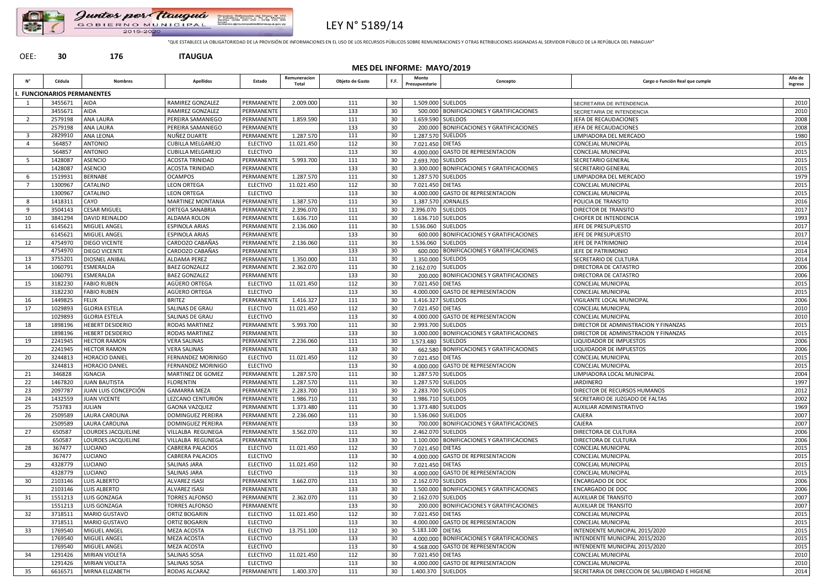



# LEY N° 5189/14

"QUE ESTABLECE LA OBLIGATORIEDAD DE LA PROVISIÓN DE INFORMACIONES EN EL USO DE LOS RECURSOS PÚBLICOS SOBRE REMUNERACIONES Y OTRAS RETRIBUCIONES ASIGNADAS AL SERVIDOR PÚBLICO DE LA REPÚBLICA DEL PARAGUAY"

### OEE: **30 176 ITAUGUA**

**MES DEL INFORME: MAYO/2019**

| Ν°                      | Cédula                     | <b>Nombres</b>          | <b>Apellidos</b>          | Estado          | Remuneracion<br>Total | Objeto de Gasto | F.F. | Monto<br>Presupuestario | Concepto                                     | Cargo o Función Real que cumple                 | Año de<br>Ingreso |
|-------------------------|----------------------------|-------------------------|---------------------------|-----------------|-----------------------|-----------------|------|-------------------------|----------------------------------------------|-------------------------------------------------|-------------------|
|                         | . FUNCIONARIOS PERMANENTES |                         |                           |                 |                       |                 |      |                         |                                              |                                                 |                   |
|                         | 3455671                    | <b>AIDA</b>             | <b>RAMIREZ GONZALEZ</b>   | PERMANENTE      | 2.009.000             | 111             | 30   | 1.509.000 SUELDOS       |                                              | SECRETARIA DE INTENDENCIA                       | 2010              |
|                         | 3455671                    | AIDA                    | <b>RAMIREZ GONZALEZ</b>   | PERMANENTE      |                       | 133             | 30   |                         | 500.000 BONIFICACIONES Y GRATIFICACIONES     | SECRETARIA DE INTENDENCIA                       | 2010              |
| $\overline{2}$          | 2579198                    | <b>ANA LAURA</b>        | PEREIRA SAMANIEGO         | PERMANENTE      | 1.859.590             | 111             | 30   | 1.659.590 SUELDOS       |                                              | JEFA DE RECAUDACIONES                           | 2008              |
|                         | 2579198                    | <b>ANA LAURA</b>        | PEREIRA SAMANIEGO         | PERMANENTE      |                       | 133             | 30   |                         | 200.000 BONIFICACIONES Y GRATIFICACIONES     | JEFA DE RECAUDACIONES                           | 2008              |
| $\overline{\mathbf{3}}$ | 2829910                    | <b>ANA LEONA</b>        | NUÑEZ DUARTE              | PERMANENTE      | 1.287.570             | 111             | 30   | 1.287.570 SUELDOS       |                                              | LIMPIADORA DEL MERCADO                          | 1980              |
| 4                       | 564857                     | <b>ANTONIO</b>          | <b>CUBILLA MELGAREJO</b>  | <b>ELECTIVO</b> | 11.021.450            | 112             | 30   | 7.021.450 DIETAS        |                                              | CONCEJAL MUNICIPAL                              | 2015              |
|                         | 564857                     | <b>ANTONIO</b>          | <b>CUBILLA MELGAREJO</b>  | <b>ELECTIVO</b> |                       | 113             | 30   |                         | 4.000.000 GASTO DE REPRESENTACION            | CONCEJAL MUNICIPAL                              | 2015              |
| -5                      | 1428087                    | <b>ASENCIO</b>          | <b>ACOSTA TRINIDAD</b>    | PERMANENTE      | 5.993.700             | 111             | 30   | 2.693.700 SUELDOS       |                                              | SECRETARIO GENERAL                              | 2015              |
|                         | 1428087                    | <b>ASENCIO</b>          | <b>ACOSTA TRINIDAD</b>    | PERMANENTE      |                       | 133             | 30   |                         | 3.300.000   BONIFICACIONES Y GRATIFICACIONES | SECRETARIO GENERAL                              | 2015              |
| 6                       | 1519931                    | <b>BERNABE</b>          | <b>OCAMPOS</b>            | PERMANENTE      | 1.287.570             | 111             | 30   | 1.287.570 SUELDOS       |                                              | LIMPIADORA DEL MERCADO                          | 1979              |
| $\overline{7}$          | 1300967                    | CATALINO                | <b>LEON ORTEGA</b>        | <b>ELECTIVO</b> | 11.021.450            | 112             | 30   | 7.021.450 DIETAS        |                                              | CONCEJAL MUNICIPAL                              | 2015              |
|                         | 1300967                    | CATALINO                | <b>LEON ORTEGA</b>        | <b>ELECTIVO</b> |                       | 113             | 30   |                         | 4.000.000 GASTO DE REPRESENTACION            | CONCEJAL MUNICIPAL                              | 2015              |
| 8                       | 141831                     | CAYO                    | <b>MARTINEZ MONTANIA</b>  | PERMANENTE      | 1.387.570             | 111             | 30   |                         | 1.387.570 JORNALES                           | POLICIA DE TRANSITO                             | 2016              |
| -9                      | 3504143                    | <b>CESAR MIGUEL</b>     | ORTEGA SANABRIA           | PERMANENTE      | 2.396.070             | 111             | 30   | 2.396.070               | <b>SUELDOS</b>                               | DIRECTOR DE TRANSITO                            | 2017              |
| 10                      | 3841294                    | DAVID REINALDO          | ALDAMA ROLON              | PERMANENTE      | 1.636.710             | 111             | 30   | 1.636.710 SUELDOS       |                                              | <b>CHOFER DE INTENDENCIA</b>                    | 1993              |
| 11                      | 6145621                    | MIGUEL ANGEL            | <b>ESPINOLA ARIAS</b>     | PERMANENTE      | 2.136.060             | 111             | 30   | 1.536.060               | <b>SUELDOS</b>                               | JEFE DE PRESUPUESTO                             | 2017              |
|                         | 6145621                    | MIGUEL ANGEL            | <b>ESPINOLA ARIAS</b>     | PERMANENTE      |                       | 133             | 30   |                         | 600.000 BONIFICACIONES Y GRATIFICACIONES     | JEFE DE PRESUPUESTO                             | 2017              |
| 12                      | 4754970                    | DIEGO VICENTE           | CARDOZO CABAÑAS           | PERMANENTE      | 2.136.060             | 111             | 30   | 1.536.060               | <b>SUELDOS</b>                               | JEFE DE PATRIMONIO                              | 2014              |
|                         | 4754970                    | DIEGO VICENTE           | CARDOZO CABAÑAS           | PERMANENTE      |                       | 133             | 30   |                         | 600.000   BONIFICACIONES Y GRATIFICACIONES   | JEFE DE PATRIMONIO                              | 2014              |
| 13                      | 3755201                    | DIOSNEL ANIBAL          | ALDAMA PEREZ              | PERMANENTE      | 1.350.000             | 111             | 30   | 1.350.000 SUELDOS       |                                              | SECRETARIO DE CULTURA                           | 2014              |
| 14                      | 1060791                    | ESMERALDA               | <b>BAEZ GONZALEZ</b>      | PERMANENTE      | 2.362.070             | 111             | 30   | 2.162.070 SUELDOS       |                                              | DIRECTORA DE CATASTRO                           | 2006              |
|                         | 1060791                    | ESMERALDA               | <b>BAEZ GONZALEZ</b>      | PERMANENTE      |                       | 133             | 30   |                         | 200.000   BONIFICACIONES Y GRATIFICACIONES   | DIRECTORA DE CATASTRO                           | 2006              |
| 15                      | 3182230                    | <b>FABIO RUBEN</b>      | AGÜERO ORTEGA             | <b>ELECTIVO</b> | 11.021.450            | 112             | 30   | 7.021.450 DIETAS        |                                              | CONCEJAL MUNICIPAL                              | 2015              |
|                         | 3182230                    | <b>FABIO RUBEN</b>      | AGÜERO ORTEGA             | <b>ELECTIVO</b> |                       | 113             | 30   |                         | 4.000.000 GASTO DE REPRESENTACION            | CONCEJAL MUNICIPAL                              | 2015              |
| 16                      | 1449825                    | <b>FELIX</b>            | <b>BRITEZ</b>             | PERMANENTI      | 1.416.327             | 111             | 30   | 1.416.327 SUELDOS       |                                              | VIGILANTE LOCAL MUNICIPAL                       | 2006              |
| 17                      | 1029893                    | <b>GLORIA ESTELA</b>    | SALINAS DE GRAU           | <b>ELECTIVO</b> | 11.021.450            | 112             | 30   | 7.021.450 DIETAS        |                                              | CONCEJAL MUNICIPAL                              | 2010              |
|                         | 1029893                    | <b>GLORIA ESTELA</b>    | SALINAS DE GRAU           | <b>ELECTIVO</b> |                       | 113             | 30   |                         | 4.000.000 GASTO DE REPRESENTACION            | <b>CONCEJAL MUNICIPAL</b>                       | 2010              |
| 18                      | 1898196                    | <b>HEBERT DESIDERIO</b> | RODAS MARTINEZ            | PERMANENTE      | 5.993.700             | 111             | 30   | 2.993.700 SUELDOS       |                                              | DIRECTOR DE ADMINISTRACION Y FINANZAS           | 2015              |
|                         | 1898196                    | <b>HEBERT DESIDERIO</b> | RODAS MARTINEZ            | PERMANENTE      |                       | 133             | -30  |                         | 3.000.000 BONIFICACIONES Y GRATIFICACIONES   | DIRECTOR DE ADMINISTRACION Y FINANZAS           | 2015              |
| 19                      | 2241945                    | <b>HECTOR RAMON</b>     | <b>VERA SALINAS</b>       | PERMANENTE      | 2.236.060             | 111             | 30   | 1.573.480               | <b>SUELDOS</b>                               | LIQUIDADOR DE IMPUESTOS                         | 2006              |
|                         | 2241945                    | <b>HECTOR RAMON</b>     | <b>VERA SALINAS</b>       | PERMANENTE      |                       | 133             | 30   |                         | 662.580 BONIFICACIONES Y GRATIFICACIONES     | LIQUIDADOR DE IMPUESTOS                         | 2006              |
| 20                      | 3244813                    | HORACIO DANIEL          | <b>FERNANDEZ MORINIGO</b> | <b>ELECTIVO</b> | 11.021.450            | 112             | 30   | 7.021.450 DIETAS        |                                              | <b>CONCEJAL MUNICIPAL</b>                       | 2015              |
|                         | 3244813                    | <b>HORACIO DANIEL</b>   | FERNANDEZ MORINIGO        | <b>ELECTIVO</b> |                       | 113             | 30   |                         | 4.000.000 GASTO DE REPRESENTACION            | CONCEJAL MUNICIPAL                              | 2015              |
| 21                      | 346828                     | <b>IGNACIA</b>          | <b>MARTINEZ DE GOMEZ</b>  | PERMANENTE      | 1.287.570             | 111             | 30   | 1.287.570 SUELDOS       |                                              | LIMPIADORA LOCAL MUNICIPAL                      | 2004              |
| 22                      | 1467820                    | <b>JUAN BAUTISTA</b>    | <b>FLORENTIN</b>          | PERMANENTE      | 1.287.570             | 111             | 30   | 1.287.570 SUELDOS       |                                              | <b>JARDINERO</b>                                | 1997              |
| 23                      | 2097787                    | JUAN LUIS CONCEPCIÓN    | <b>GAMARRA MEZA</b>       | PERMANENTE      | 2.283.700             | 111             | 30   | 2.283.700 SUELDOS       |                                              | DIRECTOR DE RECURSOS HUMANOS                    | 2012              |
| 24                      | 1432559                    | <b>JUAN VICENTE</b>     | LEZCANO CENTURIÓN         | PERMANENTE      | 1.986.710             | 111             | 30   | 1.986.710 SUELDOS       |                                              | SECRETARIO DE JUZGADO DE FALTAS                 | 2002              |
| 25                      | 753783                     | JULIAN                  | <b>GAONA VAZQUEZ</b>      | PERMANENTE      | 1.373.480             | 111             | 30   | 1.373.480 SUELDOS       |                                              | AUXILIAR ADMINISTRATIVO                         | 1969              |
| 26                      | 2509589                    | LAURA CAROLINA          | DOMINGUEZ PEREIRA         | PERMANENTE      | 2.236.060             | 111             | 30   | 1.536.060 SUELDOS       |                                              | CAJERA                                          | 2007              |
|                         | 2509589                    | LAURA CAROLINA          | DOMINGUEZ PEREIRA         | PERMANENTE      |                       | 133             | 30   |                         | 700.000 BONIFICACIONES Y GRATIFICACIONES     | CAJERA                                          | 2007              |
| 27                      | 650587                     | LOURDES JACQUELINE      | VILLALBA REGUNEGA         | PERMANENTE      | 3.562.070             | 111             | 30   | 2.462.070 SUELDOS       |                                              | DIRECTORA DE CULTURA                            | 2006              |
|                         | 650587                     | LOURDES JACQUELINE      | VILLALBA REGUNEGA         | PERMANENTE      |                       | 133             | 30   |                         | 1.100.000 BONIFICACIONES Y GRATIFICACIONES   | DIRECTORA DE CULTURA                            | 2006              |
| -28                     | 367477                     | LUCIANO                 | <b>CABRERA PALACIOS</b>   | <b>ELECTIVO</b> | 11.021.450            | 112             | 30   | 7.021.450 DIETAS        |                                              | CONCEJAL MUNICIPAL                              | 2015              |
|                         | 367477                     | LUCIANO                 | <b>CABRERA PALACIOS</b>   | <b>ELECTIVO</b> |                       | 113             | 30   |                         | 4.000.000 GASTO DE REPRESENTACION            | CONCEJAL MUNICIPAL                              | 2015              |
| 29                      | 4328779                    | LUCIANO                 | SALINAS JARA              | <b>ELECTIVO</b> | 11.021.450            | 112             | 30   | 7.021.450 DIETAS        |                                              | CONCEJAL MUNICIPAL                              | 2015              |
|                         | 4328779                    | LUCIANO                 | <b>SALINAS JARA</b>       | <b>ELECTIVO</b> |                       | 113             | 30   |                         | 4.000.000 GASTO DE REPRESENTACION            | <b>CONCEJAL MUNICIPAL</b>                       | 2015              |
| 30                      | 2103146                    | LUIS ALBERTO            | ALVAREZ ISASI             | PERMANENTE      | 3.662.070             | 111             | 30   | 2.162.070 SUELDOS       |                                              | <b>ENCARGADO DE DOC</b>                         | 2006              |
|                         | 2103146                    | <b>LUIS ALBERTO</b>     | <b>ALVAREZ ISASI</b>      | PERMANENTE      |                       | 133             | 30   |                         | 1.500.000 BONIFICACIONES Y GRATIFICACIONES   | <b>ENCARGADO DE DOC</b>                         | 2006              |
| 31                      | 1551213                    | LUIS GONZAGA            | <b>TORRES ALFONSO</b>     | PERMANENTE      | 2.362.070             | 111             | 30   | 2.162.070 SUELDOS       |                                              | <b>AUXILIAR DE TRANSITO</b>                     | 2007              |
|                         | 1551213                    | LUIS GONZAGA            | <b>TORRES ALFONSO</b>     | PERMANENTE      |                       | 133             | 30   |                         | 200.000 BONIFICACIONES Y GRATIFICACIONES     | <b>AUXILIAR DE TRANSITO</b>                     | 2007              |
| 32                      | 3718511                    | MARIO GUSTAVO           | ORTIZ BOGARIN             | <b>ELECTIVO</b> | 11.021.450            | 112             | 30   | 7.021.450 DIETAS        |                                              | <b>CONCEJAL MUNICIPAL</b>                       | 2015              |
|                         | 3718511                    | MARIO GUSTAVO           | ORTIZ BOGARIN             | <b>ELECTIVO</b> |                       | 113             | 30   |                         | 4.000.000 GASTO DE REPRESENTACION            | CONCEJAL MUNICIPAL                              | 2015              |
| 33                      | 1769540                    | MIGUEL ANGEL            | MEZA ACOSTA               | <b>ELECTIVO</b> | 13.751.100            | 112             | 30   | 5.183.100 DIETAS        |                                              | INTENDENTE MUNICIPAL 2015/2020                  | 2015              |
|                         | 1769540                    | MIGUEL ANGEL            | MEZA ACOSTA               | <b>ELECTIVO</b> |                       | 133             | 30   |                         | 4.000.000 BONIFICACIONES Y GRATIFICACIONES   | INTENDENTE MUNICIPAL 2015/2020                  | 2015              |
|                         | 1769540                    | MIGUEL ANGEL            | MEZA ACOSTA               | <b>ELECTIVO</b> |                       | 113             | 30   |                         | 4.568.000 GASTO DE REPRESENTACION            | INTENDENTE MUNICIPAL 2015/2020                  | 2015              |
| 34                      | 1291426                    | MIRIAN VIOLETA          | <b>SALINAS SOSA</b>       | <b>ELECTIVO</b> | 11.021.450            | 112             | 30   | 7.021.450 DIETAS        |                                              | <b>CONCEJAL MUNICIPAL</b>                       | 2010              |
|                         | 1291426                    | MIRIAN VIOLETA          | <b>SALINAS SOSA</b>       | <b>ELECTIVO</b> |                       | 113             | 30   |                         | 4.000.000 GASTO DE REPRESENTACION            | CONCEJAL MUNICIPAL                              | 2010              |
| 35                      | 6616571                    | MIRNA ELIZABETH         | RODAS ALCARAZ             | PERMANENTE      | 1.400.370             | 111             | 30   | 1.400.370 SUELDOS       |                                              | SECRETARIA DE DIRECCION DE SALUBRIDAD E HIGIENE | 2014              |
|                         |                            |                         |                           |                 |                       |                 |      |                         |                                              |                                                 |                   |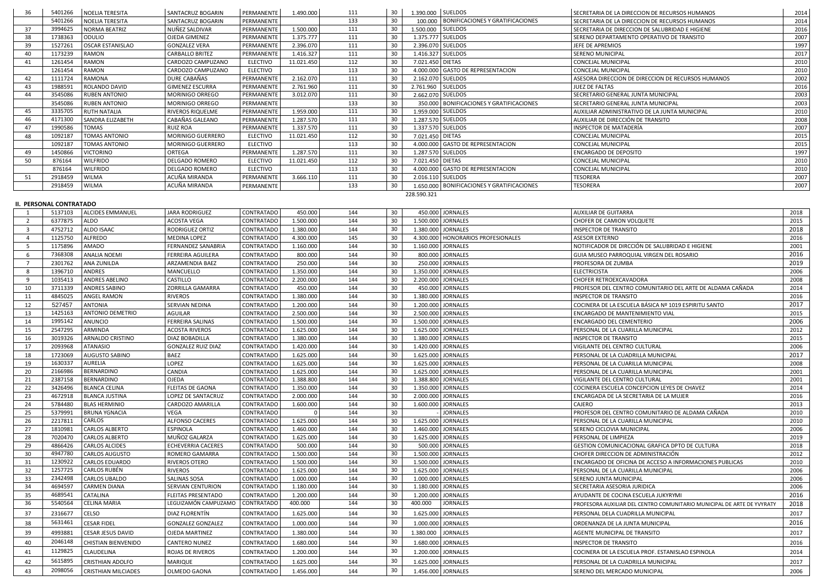| 36 | 5401266 | NOELIA TERESITA         | SANTACRUZ BOGARIN        | PERMANENTE      | 1.490.000  | 111 | 30              | 1.390.000 SUELDOS |                                            | I SECRETARIA DE LA DIRECCION DE RECURSOS HUMANOS   | 2014 |
|----|---------|-------------------------|--------------------------|-----------------|------------|-----|-----------------|-------------------|--------------------------------------------|----------------------------------------------------|------|
|    | 5401266 | NOELIA TERESITA         | SANTACRUZ BOGARIN        | PERMANENTE      |            | 133 | 30              |                   | 100.000   BONIFICACIONES Y GRATIFICACIONES | SECRETARIA DE LA DIRECCION DE RECURSOS HUMANOS     | 2014 |
| 37 | 3994625 | NORMA BEATRIZ           | NUÑEZ SALDIVAR           | PERMANENTE      | 1.500.000  | 111 | 30              | 1.500.000 SUELDOS |                                            | SECRETARIA DE DIRECCION DE SALUBRIDAD E HIGIENE    | 2016 |
| 38 | 1738363 | <b>ODULIO</b>           | OJEDA GIMENEZ            | PERMANENTE      | 1.375.777  | 111 | 30              |                   | 1.375.777 SUELDOS                          | SERENO DEPARTAMENTO OPERATIVO DE TRANSITO          | 2007 |
| 39 | 1527261 | OSCAR ESTANISLAO        | <b>GONZALEZ VERA</b>     | PERMANENTE      | 2.396.070  | 111 | 30              |                   | 2.396.070 SUELDOS                          | JEFE DE APREMIOS                                   | 1997 |
|    | 1173239 | RAMON                   | CARBALLO BRITEZ          | PERMANENTE      | 1.416.327  | 111 | 30              |                   | 1.416.327 SUELDOS                          | <b>SERENO MUNICIPAL</b>                            | 2017 |
|    | 1261454 | <b>RAMON</b>            | CARDOZO CAMPUZANO        | <b>ELECTIVO</b> | 11.021.450 | 112 | 30              | 7.021.450 DIETAS  |                                            | CONCEJAL MUNICIPAL                                 | 2010 |
|    | 1261454 | <b>RAMON</b>            | CARDOZO CAMPUZANO        | <b>ELECTIVO</b> |            | 113 | 30              |                   | 4.000.000 GASTO DE REPRESENTACION          | <b>CONCEJAL MUNICIPAL</b>                          | 2010 |
|    | 1111724 | RAMONA                  | DURE CABAÑAS             | PERMANENTE      | 2.162.070  | 111 | 30              |                   | 2.162.070 SUELDOS                          | ASESORA DIRECCION DE DIRECCION DE RECURSOS HUMANOS | 2002 |
| 43 | 1988591 | ROLANDO DAVID           | <b>GIMENEZ ESCURRA</b>   | PERMANENTE      | 2.761.960  | 111 | 30              | 2.761.960 SUELDOS |                                            | <b>JUEZ DE FALTAS</b>                              | 2016 |
| 44 | 3545086 | <b>RUBEN ANTONIO</b>    | MORINIGO ORREGO          | PERMANENTE      | 3.012.070  | 111 | 30              |                   | 2.662.070 SUELDOS                          | SECRETARIO GENERAL JUNTA MUNICIPAL                 | 2003 |
|    | 3545086 | <b>RUBEN ANTONIO</b>    | <b>MORINIGO ORREGO</b>   | PERMANENTE      |            | 133 | 30              |                   | 350.000   BONIFICACIONES Y GRATIFICACIONES | SECRETARIO GENERAL JUNTA MUNICIPAL                 | 2003 |
| 45 | 3335705 | <b>RUTH NATALIA</b>     | RIVEROS RIQUELME         | PERMANENTE      | 1.959.000  | 111 | 30              |                   | 1.959.000 SUELDOS                          | AUXILIAR ADMINISTRATIVO DE LA JUNTA MUNICIPAL      | 2010 |
|    | 4171300 | <b>SANDRA ELIZABETH</b> | CABAÑAS GALEANO          | PERMANENTE      | 1.287.570  | 111 | 30              |                   | 1.287.570 SUELDOS                          | AUXILIAR DE DIRECCIÓN DE TRANSITO                  | 2008 |
|    | 1990586 | TOMAS                   | <b>RUIZ ROA</b>          | PERMANENTE      | 1.337.570  | 111 | 30              |                   | 1.337.570 SUELDOS                          | INSPECTOR DE MATADERÍA                             | 2007 |
| 48 | 1092187 | <b>TOMAS ANTONIO</b>    | MORINIGO GUERRERO        | <b>ELECTIVO</b> | 11.021.450 | 112 | 30              | 7.021.450 DIETAS  |                                            | <b>CONCEJAL MUNICIPAL</b>                          | 2015 |
|    | 1092187 | <b>TOMAS ANTONIO</b>    | <b>MORINIGO GUERRERO</b> | ELECTIVO        |            | 113 | 30              |                   | 4.000.000 GASTO DE REPRESENTACION          | <b>CONCEJAL MUNICIPAL</b>                          | 2015 |
| 49 | 1450866 | <b>VICTORINO</b>        | ORTEGA                   | PERMANENTE      | 1.287.570  | 111 | 30              |                   | 1.287.570 SUELDOS                          | <b>ENCARGADO DE DEPOSITO</b>                       | 1997 |
| 50 | 876164  | <b>WILFRIDO</b>         | <b>DELGADO ROMERO</b>    | <b>ELECTIVO</b> | 11.021.450 | 112 | 30              | 7.021.450 DIETAS  |                                            | <b>CONCEJAL MUNICIPAL</b>                          | 2010 |
|    | 876164  | <b>WILFRIDO</b>         | <b>DELGADO ROMERO</b>    | <b>ELECTIVO</b> |            | 113 | 30              |                   | 4.000.000 GASTO DE REPRESENTACION          | <b>CONCEJAL MUNICIPAL</b>                          | 2010 |
| 51 | 2918459 | <b>WILMA</b>            | ACUÑA MIRANDA            | PERMANENTE      | 3.666.110  | 111 | 30              |                   | 2.016.110 SUELDOS                          | TESORERA                                           | 2007 |
|    | 2918459 | <b>WILMA</b>            | ACUÑA MIRANDA            | PERMANENTE      |            | 133 | 30 <sup>°</sup> |                   | 1.650.000 BONIFICACIONES Y GRATIFICACIONES | <b>TESORERA</b>                                    | 2007 |
|    |         |                         |                          |                 |            |     |                 | 228.590.321       |                                            |                                                    |      |

#### **II. PERSONAL CONTRATADO**

|     | 5137103 | <b>ALCIDES EMMANUEL</b>    | <b>JARA RODRIGUEZ</b>     | <b>CONTRATADO</b> | 450.000   | 144 | 30 | 450.000 JORNALES                     | <b>AUXILIAR DE GUITARRA</b>                                            | 2018 |
|-----|---------|----------------------------|---------------------------|-------------------|-----------|-----|----|--------------------------------------|------------------------------------------------------------------------|------|
| -2  | 6377875 | ALDO                       | ACOSTA VEGA               | <b>CONTRATADO</b> | 1.500.000 | 144 | 30 | 1.500.000 JORNALES                   | CHOFER DE CAMION VOLQUETE                                              | 2015 |
| -3  | 4752712 | ALDO ISAAC                 | RODRIGUEZ ORTIZ           | <b>CONTRATADO</b> | 1.380.000 | 144 | 30 | 1.380.000 JORNALES                   | <b>INSPECTOR DE TRANSITO</b>                                           | 2018 |
|     | 1125750 | <b>ALFREDO</b>             | <b>MEDINA LOPEZ</b>       | <b>CONTRATADO</b> | 4.300.000 | 145 | 30 | 4.300.000   HONORARIOS PROFESIONALES | <b>ASESOR EXTERNO</b>                                                  | 2016 |
| -5  | 1175896 | AMADO                      | <b>FERNANDEZ SANABRIA</b> | <b>CONTRATADO</b> | 1.160.000 | 144 | 30 | 1.160.000 JORNALES                   | NOTIFICADOR DE DIRCCIÓN DE SALUBRIDAD E HIGIENE                        | 2001 |
| -6  | 7368308 | <b>ANALIA NOEMI</b>        | FERREIRA AGUILERA         | <b>CONTRATADO</b> | 800.000   | 144 | 30 | 800.000 JORNALES                     | GUIA MUSEO PARROQUIAL VIRGEN DEL ROSARIO                               | 2016 |
|     | 2301762 | ANA ZUNILDA                | ARZAMENDIA BAEZ           | <b>CONTRATADO</b> | 250.000   | 144 | 30 | 250.000 JORNALES                     | PROFESORA DE ZUMBA                                                     | 2019 |
| 8   | 1396710 | ANDRES                     | MANCUELLO                 | <b>CONTRATADO</b> | 1.350.000 | 144 | 30 | 1.350.000 JORNALES                   | <b>ELECTRICISTA</b>                                                    | 2006 |
| 9   | 1035413 | ANDRES ABELINO             | CASTILLO                  | <b>CONTRATADO</b> | 2.200.000 | 144 | 30 | 2.200.000 JORNALES                   | CHOFER RETROEXCAVADORA                                                 | 2008 |
| 10  | 3711339 | ANDRES SABINO              | <b>ZORRILLA GAMARRA</b>   | <b>CONTRATADO</b> | 450.000   | 144 | 30 | 450.000 JORNALES                     | PROFESOR DEL CENTRO COMUNITARIO DEL ARTE DE ALDAMA CAÑADA              | 2014 |
| 11  | 4845025 | <b>ANGEL RAMON</b>         | <b>RIVEROS</b>            | CONTRATADO        | 1.380.000 | 144 | 30 | 1.380.000 JORNALES                   | <b>INSPECTOR DE TRANSITO</b>                                           | 2016 |
| 12  | 527457  | <b>ANTONIA</b>             | SERVIAN NEDINA            | <b>CONTRATADO</b> | 1.200.000 | 144 | 30 | 1.200.000 JORNALES                   | COCINERA DE LA ESCUELA BÁSICA Nº 1019 ESPIRITU SANTO                   | 2017 |
| 13  | 1425163 | <b>ANTONIO DEMETRIO</b>    | AGUILAR                   | <b>CONTRATADO</b> | 2.500.000 | 144 | 30 | 2.500.000 JORNALES                   | ENCARGADO DE MANTENIMIENTO VIAL                                        | 2015 |
| -14 | 1995142 | <b>ANUNCIO</b>             | <b>FERREIRA SALINAS</b>   | <b>CONTRATADO</b> | 1.500.000 | 144 | 30 | 1.500.000 JORNALES                   | ENCARGADO DEL CEMENTERIO                                               | 2006 |
| 15  | 2547295 | ARMINDA                    | <b>ACOSTA RIVEROS</b>     | <b>CONTRATADO</b> | 1.625.000 | 144 | 30 | 1.625.000 JORNALES                   | PERSONAL DE LA CUARILLA MUNICIPAL                                      | 2012 |
| 16  | 3019326 | ARNALDO CRISTINO           | DIAZ BOBADILLA            | CONTRATADO        | 1.380.000 | 144 | 30 | 1.380.000 JORNALES                   | <b>INSPECTOR DE TRANSITO</b>                                           | 2015 |
| 17  | 2093968 | <b>ATANASIO</b>            | <b>GONZALEZ RUIZ DIAZ</b> | CONTRATADO        | 1.420.000 | 144 | 30 | 1.420.000 JORNALES                   | VIGILANTE DEL CENTRO CULTURAL                                          | 2006 |
| 18  | 1723069 | <b>AUGUSTO SABINO</b>      | <b>BAEZ</b>               | <b>CONTRATADO</b> | 1.625.000 | 144 | 30 | 1.625.000 JORNALES                   | PERSONAL DE LA CUADRILLA MUNICIPAL                                     | 2017 |
| 19  | 1630337 | AURELIA                    | LOPEZ                     | CONTRATADO        | 1.625.000 | 144 | 30 | 1.625.000 JORNALES                   | PERSONAL DE LA CUARILLA MUNICIPAL                                      | 2008 |
| 20  | 2166986 | <b>BERNARDINO</b>          | CANDIA                    | <b>CONTRATADO</b> | 1.625.000 | 144 | 30 | 1.625.000 JORNALES                   | PERSONAL DE LA CUARILLA MUNICIPAL                                      | 2001 |
| 21  | 2387158 | <b>BERNARDINO</b>          | <b>OJEDA</b>              | <b>CONTRATADO</b> | 1.388.800 | 144 | 30 | 1.388.800 JORNALES                   | VIGILANTE DEL CENTRO CULTURAL                                          | 2001 |
| 22  | 3426496 | <b>BLANCA CELINA</b>       | <b>FLEITAS DE GAONA</b>   | CONTRATADO        | 1.350.000 | 144 | 30 | 1.350.000 JORNALES                   | COCINERA ESCUELA CONCEPCION LEYES DE CHAVEZ                            | 2014 |
| 23  | 4672918 | <b>BLANCA JUSTINA</b>      | LOPEZ DE SANTACRUZ        | <b>CONTRATADO</b> | 2.000.000 | 144 | 30 | 2.000.000 JORNALES                   | ENCARGADA DE LA SECRETARIA DE LA MUJER                                 | 2016 |
| 24  | 5784480 | <b>BLAS HERMINIO</b>       | CARDOZO AMARILLA          | CONTRATADO        | 1.600.000 | 144 | 30 | 1.600.000 JORNALES                   | CAJERO                                                                 | 2013 |
| 25  | 5379991 | <b>BRUNA YGNACIA</b>       | VEGA                      | CONTRATADO        |           | 144 | 30 | <b>JORNALES</b>                      | PROFESOR DEL CENTRO COMUNITARIO DE ALDAMA CAÑADA                       | 2010 |
| 26  | 2217811 | CARLOS                     | <b>ALFONSO CACERES</b>    | <b>CONTRATADO</b> | 1.625.000 | 144 | 30 | 1.625.000 JORNALES                   | PERSONAL DE LA CUARILLA MUNICIPAL                                      | 2010 |
| 27  | 1810981 | CARLOS ALBERTO             | <b>ESPINOLA</b>           | CONTRATADO        | 1.460.000 | 144 | 30 | 1.460.000 JORNALES                   | SERENO CICLOVIA MUNICIPAL                                              | 2006 |
| 28  | 7020470 | CARLOS ALBERTO             | MUÑOZ GALARZA             | <b>CONTRATADO</b> | 1.625.000 | 144 | 30 | 1.625.000 JORNALES                   | PERSONAL DE LIMPIEZA                                                   | 2019 |
| 29  | 4866426 | <b>CARLOS ALCIDES</b>      | <b>ECHEVERRIA CACERES</b> | CONTRATADO        | 500.000   | 144 | 30 | 500.000 JORNALES                     | GESTION COMUNICACIONAL GRAFICA DPTO DE CULTURA                         | 2018 |
| 30  | 4947780 | <b>CARLOS AUGUSTO</b>      | <b>ROMERO GAMARRA</b>     | <b>CONTRATADO</b> | 1.500.000 | 144 | 30 | 1.500.000 JORNALES                   | CHOFER DIRECCION DE ADMINISTRACIÓN                                     | 2012 |
| 31  | 1230922 | CARLOS EDUARDO             | RIVEROS OTERO             | <b>CONTRATADO</b> | 1.500.000 | 144 | 30 | 1.500.000 JORNALES                   | ENCARGADO DE OFICINA DE ACCESO A INFORMACIONES PUBLICAS                | 2010 |
| 32  | 1257725 | CARLOS RUBÉN               | <b>RIVEROS</b>            | CONTRATADO        | 1.625.000 | 144 | 30 | 1.625.000 JORNALES                   | PERSONAL DE LA CUARILLA MUNICIPAL                                      | 2006 |
| 33  | 2342498 | <b>CARLOS UBALDO</b>       | <b>SALINAS SOSA</b>       | CONTRATADO        | 1.000.000 | 144 | 30 | 1.000.000 JORNALES                   | SERENO JUNTA MUNICIPAL                                                 | 2006 |
| 34  | 4694597 | <b>CARMEN DIANA</b>        | SERVIAN CENTURION         | CONTRATADO        | 1.180.000 | 144 | 30 | 1.180.000 JORNALES                   | SECRETARIA ASESORIA JURIDICA                                           | 2006 |
| 35  | 4689541 | CATALINA                   | FLEITAS PRESENTADO        | <b>CONTRATADO</b> | 1.200.000 | 144 | 30 | 1.200.000 JORNALES                   | AYUDANTE DE COCINA ESCUELA JUKYRYMI                                    | 2016 |
| 36  | 5540564 | <b>CELINA MARIA</b>        | LEGUIZAMÓN CAMPUZAMO      | CONTRATADO        | 400.000   | 144 | 30 | 400.000<br><b>JORNALES</b>           | PROFESORA AUXILIAR DEL CENTRO COMUNITARIO MUNICIPAL DE ARTE DE YVYRATY | 2018 |
| -37 | 2316677 | CELSO                      | DIAZ FLORENTÍN            | CONTRATADO        | 1.625.000 | 144 | 30 | 1.625.000 JORNALES                   | PERSONAL DELA CUADRILLA MUNICIPAL                                      | 2017 |
| 38  | 5631461 | <b>CESAR FIDEL</b>         | <b>GONZALEZ GONZALEZ</b>  | CONTRATADO        | 1.000.000 | 144 | 30 | 1.000.000 JORNALES                   | ORDENANZA DE LA JUNTA MUNICIPAL                                        | 2016 |
| 39  | 4993881 | <b>CESAR JESUS DAVID</b>   | <b>OJEDA MARTINEZ</b>     | <b>CONTRATADO</b> | 1.380.000 | 144 | 30 | 1.380.000<br><b>JORNALES</b>         | AGENTE MUNICIPAL DE TRANSITO                                           | 2017 |
| 40  | 2046148 | <b>CHISTIAN BIENVENIDO</b> | <b>CANTERO NUNEZ</b>      | CONTRATADO        | 1.680.000 | 144 | 30 | 1.680.000 JORNALES                   | <b>INSPECTOR DE TRANSITO</b>                                           | 2016 |
| 41  | 1129825 | CLAUDELINA                 | ROJAS DE RIVEROS          | CONTRATADO        | 1.200.000 | 144 | 30 | 1.200.000 JORNALES                   | COCINERA DE LA ESCUELA PROF. ESTANISLAO ESPINOLA                       | 2014 |
| 42  | 5615895 | <b>CRISTHIAN ADOLFO</b>    | <b>MARIQUE</b>            | CONTRATADO        | 1.625.000 | 144 | 30 | 1.625.000 JORNALES                   | PERSONAL DE LA CUADRILLA MUNICIPAL                                     | 2017 |
| 43  | 2098056 | <b>CRISTHIAN MILCIADES</b> | OLMEDO GAONA              | CONTRATADO        | 1.456.000 | 144 | 30 | 1.456.000 JORNALES                   | SERENO DEL MERCADO MUNICIPAL                                           | 2006 |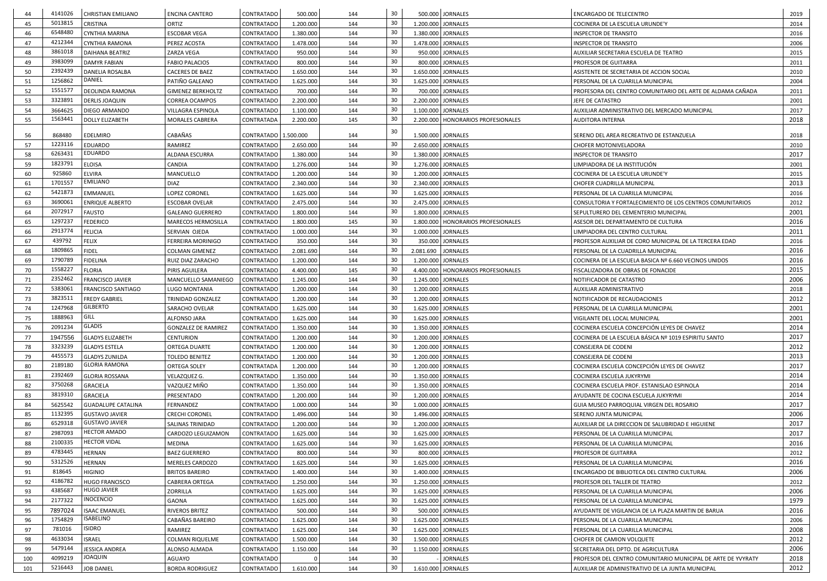| 44  | 4141026 | <b>CHRISTIAN EMILIANO</b> | <b>ENCINA CANTERO</b>      | CONTRATADO           | 500.000   | 144 | 30              |                      | 500.000 JORNALES                     | <b>ENCARGADO DE TELECENTRO</b>                               | 2019 |
|-----|---------|---------------------------|----------------------------|----------------------|-----------|-----|-----------------|----------------------|--------------------------------------|--------------------------------------------------------------|------|
| 45  | 5013815 | <b>CRISTINA</b>           | ORTIZ                      | CONTRATADO           | 1.200.000 | 144 | 30 <sup>°</sup> | 1.200.000 JORNALES   |                                      | COCINERA DE LA ESCUELA URUNDE'Y                              | 2014 |
| 46  | 6548480 | CYNTHIA MARINA            | <b>ESCOBAR VEGA</b>        | <b>CONTRATADO</b>    | 1.380.000 | 144 | 30              | 1.380.000 JORNALES   |                                      | <b>INSPECTOR DE TRANSITO</b>                                 | 2016 |
| 47  | 4212344 | <b>CYNTHIA RAMONA</b>     | PEREZ ACOSTA               | CONTRATADO           | 1.478.000 | 144 | 30              | 1.478.000 JORNALES   |                                      | <b>INSPECTOR DE TRANSITO</b>                                 | 2006 |
| 48  | 3861018 | <b>DAIHANA BEATRIZ</b>    | ZARZA VEGA                 | <b>CONTRATADO</b>    | 950.000   | 144 | 30              |                      | 950.000 JORNALES                     | AUXILIAR SECRETARIA ESCUELA DE TEATRO                        | 2015 |
| 49  | 3983099 | <b>DAMYR FABIAN</b>       | <b>FABIO PALACIOS</b>      | CONTRATADO           | 800.000   | 144 | 30 <sup>°</sup> |                      | 800.000 JORNALES                     | PROFESOR DE GUITARRA                                         | 2011 |
| 50  | 2392439 | <b>DANELIA ROSALBA</b>    | <b>CACERES DE BAEZ</b>     | <b>CONTRATADO</b>    | 1.650.000 | 144 | 30              | 1.650.000 JORNALES   |                                      | ASISTENTE DE SECRETARIA DE ACCION SOCIAL                     | 2010 |
| 51  | 1256862 | DANIEL                    | PATIÑO GALEANO             | CONTRATADO           | 1.625.000 | 144 | 30              |                      | 1.625.000 JORNALES                   | PERSONAL DE LA CUARILLA MUNICIPAL                            | 2004 |
| 52  | 1551577 | DEOLINDA RAMONA           | <b>GIMENEZ BERKHOLTZ</b>   | <b>CONTRATADO</b>    | 700.000   | 144 | 30              |                      | 700.000 JORNALES                     | PROFESORA DEL CENTRO COMUNITARIO DEL ARTE DE ALDAMA CAÑADA   | 2011 |
| -53 | 3323891 | <b>DERLIS JOAQUIN</b>     | <b>CORREA OCAMPOS</b>      | CONTRATADO           | 2.200.000 | 144 | 30              | 2.200.000 JORNALES   |                                      | JEFE DE CATASTRO                                             | 2001 |
| 54  | 3664625 | DIEGO ARMANDO             | VILLAGRA ESPINOLA          | <b>CONTRATADO</b>    | 1.100.000 | 144 | 30              | 1.100.000 JORNALES   |                                      | AUXILIAR ADMINISTRATIVO DEL MERCADO MUNICIPAL                | 2017 |
| -55 | 1563441 | <b>DOLLY ELIZABETH</b>    | <b>MORALES CABRERA</b>     | <b>CONTRATADA</b>    | 2.200.000 | 145 | 30              |                      | 2.200.000   HONORARIOS PROFESIONALES | AUDITORA INTERNA                                             | 2018 |
|     |         |                           |                            |                      |           |     | 30              |                      |                                      |                                                              |      |
| 56  | 868480  | <b>EDELMIRO</b>           | CABAÑAS                    | CONTRATADO 1.500.000 |           | 144 |                 | 1.500.000 JORNALES   |                                      | SERENO DEL AREA RECREATIVO DE ESTANZUELA                     | 2018 |
| -57 | 1223116 | <b>EDUARDO</b>            | RAMIREZ                    | <b>CONTRATADO</b>    | 2.650.000 | 144 | 30              | 2.650.000 JORNALES   |                                      | <b>CHOFER MOTONIVELADORA</b>                                 | 2010 |
| 58  | 6263431 | <b>EDUARDO</b>            | ALDANA ESCURRA             | <b>CONTRATADO</b>    | 1.380.000 | 144 | 30              | 1.380.000 JORNALES   |                                      | <b>INSPECTOR DE TRANSITO</b>                                 | 2017 |
| -59 | 1823791 | <b>ELOISA</b>             | CANDIA                     | <b>CONTRATADO</b>    | 1.276.000 | 144 | 30              | 1.276.000 JORNALES   |                                      | LIMPIADORA DE LA INSTITUCIÓN                                 | 2001 |
| 60  | 925860  | <b>ELVIRA</b>             | MANCUELLO                  | <b>CONTRATADO</b>    | 1.200.000 | 144 | 30              | 1.200.000 JORNALES   |                                      | COCINERA DE LA ESCUELA URUNDE'Y                              | 2015 |
| 61  | 1701557 | <b>EMILIANO</b>           | <b>DIAZ</b>                | CONTRATADO           | 2.340.000 | 144 | 30              | 2.340.000 JORNALES   |                                      | CHOFER CUADRILLA MUNICIPAL                                   | 2013 |
| 62  | 5421873 | <b>EMMANUEL</b>           | LOPEZ CORONEL              | CONTRATADO           | 1.625.000 | 144 | 30              | 1.625.000 JORNALES   |                                      | PERSONAL DE LA CUARILLA MUNICIPAL                            | 2016 |
| 63  | 3690061 | <b>ENRIQUE ALBERTO</b>    | <b>ESCOBAR OVELAR</b>      | <b>CONTRATADO</b>    | 2.475.000 | 144 | 30              | 2.475.000 JORNALES   |                                      | CONSULTORIA Y FORTALECIMIENTO DE LOS CENTROS COMUNITARIOS    | 2012 |
| 64  | 2072917 | <b>FAUSTO</b>             | <b>GALEANO GUERRERO</b>    | CONTRATADO           | 1.800.000 | 144 | 30              | 1.800.000 JORNALES   |                                      | SEPULTURERO DEL CEMENTERIO MUNICIPAL                         | 2001 |
| 65  | 1297237 | <b>FEDERICO</b>           | MARECOS HERMOSILLA         | <b>CONTRATADO</b>    | 1.800.000 | 145 | 30              |                      | 1.800.000   HONORARIOS PROFESIONALES | ASESOR DEL DEPARTAMENTO DE CULTURA                           | 2016 |
| 66  | 2913774 | <b>FELICIA</b>            | SERVIAN OJEDA              | <b>CONTRATADO</b>    | 1.000.000 | 144 | 30              | 1.000.000 JORNALES   |                                      | LIMPIADORA DEL CENTRO CULTURAL                               | 2011 |
| 67  | 439792  | <b>FELIX</b>              | <b>FERREIRA MORINIGO</b>   | <b>CONTRATADO</b>    | 350.000   | 144 | 30              |                      | 350.000 JORNALES                     | PROFESOR AUXILIAR DE CORO MUNICIPAL DE LA TERCERA EDAD       | 2016 |
| 68  | 1809865 | <b>FIDEL</b>              | <b>COLMAN GIMENEZ</b>      | CONTRATADO           | 2.081.690 | 144 | 30              | 2.081.690   JORNALES |                                      | PERSONAL DE LA CUADRILLA MUNICIPAL                           | 2016 |
| 69  | 1790789 | <b>FIDELINA</b>           | RUIZ DIAZ ZARACHO          | CONTRATADO           | 1.200.000 | 144 | 30              | 1.200.000   JORNALES |                                      | COCINERA DE LA ESCUELA BASICA Nº 6.660 VECINOS UNIDOS        | 2016 |
| 70  | 1558227 | <b>FLORIA</b>             | PIRIS AGUILERA             | CONTRATADO           | 4.400.000 | 145 | 30              |                      | 4.400.000   HONORARIOS PROFESIONALES | FISCALIZADORA DE OBRAS DE FONACIDE                           | 2015 |
| 71  | 2352462 | <b>FRANCISCO JAVIER</b>   | MANCUELLO SAMANIEGO        | <b>CONTRATADO</b>    | 1.245.000 | 144 | 30              | 1.245.000 JORNALES   |                                      | NOTIFICADOR DE CATASTRO                                      | 2006 |
| 72  | 5383061 | <b>FRANCISCO SANTIAGO</b> | <b>LUGO MONTANIA</b>       | <b>CONTRATADO</b>    | 1.200.000 | 144 | 30              | 1.200.000 JORNALES   |                                      | AUXILIAR ADMINISTRATIVO                                      | 2018 |
| -73 | 3823511 | <b>FREDY GABRIEL</b>      | TRINIDAD GONZALEZ          | <b>CONTRATADO</b>    | 1.200.000 | 144 | 30              | 1.200.000 JORNALES   |                                      | NOTIFICADOR DE RECAUDACIONES                                 | 2012 |
| 74  | 1247968 | <b>GILBERTO</b>           | SARACHO OVELAR             | <b>CONTRATADO</b>    | 1.625.000 | 144 | 30              | 1.625.000 JORNALES   |                                      | PERSONAL DE LA CUARILLA MUNICIPAL                            | 2001 |
| 75  | 1888963 | GILL                      | ALFONSO JARA               | <b>CONTRATADO</b>    | 1.625.000 | 144 | 30              | 1.625.000 JORNALES   |                                      | VIGILANTE DEL LOCAL MUNICIPAL                                | 2001 |
| 76  | 2091234 | <b>GLADIS</b>             | <b>GONZALEZ DE RAMIREZ</b> | <b>CONTRATADO</b>    | 1.350.000 | 144 | 30              | 1.350.000 JORNALES   |                                      | COCINERA ESCUELA CONCEPCIÓN LEYES DE CHAVEZ                  | 2014 |
| 77  | 1947556 | <b>GLADYS ELIZABETH</b>   | <b>CENTURION</b>           | <b>CONTRATADO</b>    | 1.200.000 | 144 | 30              | 1.200.000 JORNALES   |                                      | COCINERA DE LA ESCUELA BÁSICA Nº 1019 ESPIRITU SANTO         | 2017 |
| 78  | 3323239 | <b>GLADYS ESTELA</b>      | <b>ORTEGA DUARTE</b>       | <b>CONTRATADO</b>    | 1.200.000 | 144 | 30              | 1.200.000 JORNALES   |                                      | CONSEJERA DE CODENI                                          | 2012 |
| 79  | 4455573 | <b>GLADYS ZUNILDA</b>     | <b>TOLEDO BENITEZ</b>      | <b>CONTRATADO</b>    | 1.200.000 | 144 | 30              | 1.200.000 JORNALES   |                                      | CONSEJERA DE CODENI                                          | 2013 |
| 80  | 2189180 | <b>GLORIA RAMONA</b>      | ORTEGA SOLEY               | CONTRATADA           | 1.200.000 | 144 | 30              | 1.200.000 JORNALES   |                                      | COCINERA ESCUELA CONCEPCIÓN LEYES DE CHAVEZ                  | 2017 |
| 81  | 2392469 | <b>GLORIA ROSSANA</b>     | VELAZQUEZ G.               | <b>CONTRATADO</b>    | 1.350.000 | 144 | 30              | 1.350.000 JORNALES   |                                      | COCINERA ESCUELA JUKYRYMI                                    | 2014 |
| 82  | 3750268 | <b>GRACIELA</b>           | VAZQUEZ MIÑO               | <b>CONTRATADO</b>    | 1.350.000 | 144 | 30              | 1.350.000 JORNALES   |                                      | COCINERA ESCUELA PROF. ESTANISLAO ESPINOLA                   | 2014 |
| 83  | 3819310 | <b>GRACIELA</b>           | PRESENTADO                 | <b>CONTRATADO</b>    | 1.200.000 | 144 | 30              | 1.200.000 JORNALES   |                                      | AYUDANTE DE COCINA ESCUELA JUKYRYMI                          | 2014 |
| 84  | 5625542 | <b>GUADALUPE CATALINA</b> | FERNANDEZ                  | <b>CONTRATADO</b>    | 1.000.000 | 144 | 30              | 1.000.000 JORNALES   |                                      | GUIA MUSEO PARROQUIAL VIRGEN DEL ROSARIO                     | 2017 |
| 85  | 1132395 | <b>GUSTAVO JAVIER</b>     | <b>CRECHI CORONEL</b>      | <b>CONTRATADO</b>    | 1.496.000 | 144 | 30              | 1.496.000 JORNALES   |                                      | SERENO JUNTA MUNICIPAL                                       | 2006 |
| 86  | 6529318 | <b>GUSTAVO JAVIER</b>     | SALINAS TRINIDAD           | <b>CONTRATADO</b>    | 1.200.000 | 144 | 30              |                      | 1.200.000 JORNALES                   | AUXILIAR DE LA DIRECCION DE SALUBRIDAD E HIGUIENE            | 2017 |
| 87  | 2987093 | <b>HECTOR AMADO</b>       | CARDOZO LEGUIZAMON         | <b>CONTRATADO</b>    | 1.625.000 | 144 | 30              | 1.625.000 JORNALES   |                                      | PERSONAL DE LA CUARILLA MUNICIPAL                            | 2017 |
| 88  | 2100335 | <b>HECTOR VIDAL</b>       | MEDINA                     | CONTRATADO           | 1.625.000 | 144 | 30              | 1.625.000 JORNALES   |                                      | PERSONAL DE LA CUARILLA MUNICIPAL                            | 2016 |
| 89  | 4783445 | <b>HERNAN</b>             | <b>BAEZ GUERRERO</b>       | <b>CONTRATADO</b>    | 800.000   | 144 | 30              |                      | 800.000 JORNALES                     | PROFESOR DE GUITARRA                                         | 2012 |
| 90  | 5312526 | <b>HERNAN</b>             | MERELES CARDOZO            | <b>CONTRATADO</b>    | 1.625.000 | 144 | 30              | 1.625.000 JORNALES   |                                      | PERSONAL DE LA CUARILLA MUNICIPAL                            | 2016 |
| 91  | 818645  | <b>HIGINIO</b>            | <b>BRITOS BAREIRO</b>      | <b>CONTRATADO</b>    | 1.400.000 | 144 | 30              | 1.400.000 JORNALES   |                                      | ENCARGADO DE BIBLIOTECA DEL CENTRO CULTURAL                  | 2006 |
| 92  | 4186782 | <b>HUGO FRANCISCO</b>     | <b>CABRERA ORTEGA</b>      | <b>CONTRATADO</b>    | 1.250.000 | 144 | 30              | 1.250.000 JORNALES   |                                      | PROFESOR DEL TALLER DE TEATRO                                | 2012 |
| 93  | 4385687 | <b>HUGO JAVIER</b>        | <b>ZORRILLA</b>            | <b>CONTRATADO</b>    | 1.625.000 | 144 | 30              | 1.625.000 JORNALES   |                                      | PERSONAL DE LA CUARILLA MUNICIPAL                            | 2006 |
| 94  | 2177322 | <b>INOCENCIO</b>          | <b>GAONA</b>               | <b>CONTRATADO</b>    | 1.625.000 | 144 | 30              | 1.625.000 JORNALES   |                                      | PERSONAL DE LA CUARILLA MUNICIPAL                            | 1979 |
| 95  | 7897024 | <b>ISAAC EMANUEL</b>      | RIVEROS BRITEZ             | <b>CONTRATADO</b>    | 500.000   | 144 | 30              |                      | 500.000 JORNALES                     | AYUDANTE DE VIGILANCIA DE LA PLAZA MARTIN DE BARUA           | 2016 |
| 96  | 1754829 | <b>ISABELINO</b>          | CABAÑAS BAREIRO            | <b>CONTRATADO</b>    | 1.625.000 | 144 | 30              | 1.625.000 JORNALES   |                                      | PERSONAL DE LA CUARILLA MUNICIPAL                            | 2006 |
| 97  | 781016  | <b>ISIDRO</b>             | RAMIREZ                    | <b>CONTRATADO</b>    | 1.625.000 | 144 | 30              | 1.625.000 JORNALES   |                                      | PERSONAL DE LA CUARILLA MUNICIPAL                            | 2008 |
| 98  | 4633034 | <b>ISRAEL</b>             | <b>COLMAN RIQUELME</b>     | <b>CONTRATADO</b>    | 1.500.000 | 144 | 30              | 1.500.000 JORNALES   |                                      | CHOFER DE CAMION VOLQUETE                                    | 2012 |
| 99  | 5479144 | JESSICA ANDREA            | ALONSO ALMADA              | CONTRATADO           | 1.150.000 | 144 | 30              | 1.150.000 JORNALES   |                                      | SECRETARIA DEL DPTO. DE AGRICULTURA                          | 2006 |
| 100 | 4099219 | <b>JOAQUIN</b>            | AGUAYO                     | CONTRATADO           |           | 144 | 30              |                      | <b>JORNALES</b>                      | PROFESOR DEL CENTRO COMUNITARIO MUNICIPAL DE ARTE DE YVYRATY | 2018 |
| 101 | 5216443 | <b>JOB DANIEL</b>         | <b>BORDA RODRIGUEZ</b>     | <b>CONTRATADO</b>    | 1.610.000 | 144 | 30 <sub>o</sub> | 1.610.000 JORNALES   |                                      | AUXILIAR DE ADMINISTRATIVO DE LA JUNTA MUNICIPAL             | 2012 |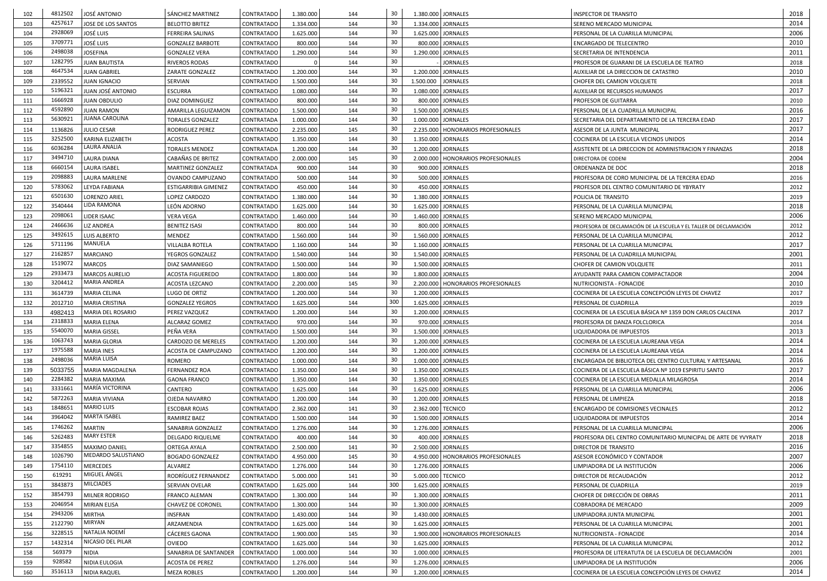| 102 | 4812502            | JOSÉ ANTONIO                               | <b>SÁNCHEZ MARTINEZ</b>        | <b>CONTRATADO</b> | 1.380.000              | 144 | 30              |                    | 1.380.000 JORNALES                     | <b>INSPECTOR DE TRANSITO</b>                                      | 2018 |
|-----|--------------------|--------------------------------------------|--------------------------------|-------------------|------------------------|-----|-----------------|--------------------|----------------------------------------|-------------------------------------------------------------------|------|
| 103 | 4257617            | JOSE DE LOS SANTOS                         | <b>BELOTTO BRITEZ</b>          | <b>CONTRATADO</b> | 1.334.000              | 144 | 30              | 1.334.000 JORNALES |                                        | SERENO MERCADO MUNICIPAL                                          | 2014 |
| 104 | 2928069            | <b>JOSÉ LUIS</b>                           | FERREIRA SALINAS               | <b>CONTRATADO</b> | 1.625.000              | 144 | 30              |                    | 1.625.000 JORNALES                     | PERSONAL DE LA CUARILLA MUNICIPAL                                 | 2006 |
| 105 | 3709771            | <b>JOSÉ LUIS</b>                           | <b>GONZALEZ BARBOTE</b>        | <b>CONTRATADO</b> | 800.000                | 144 | 30              |                    | 800.000 JORNALES                       | <b>ENCARGADO DE TELECENTRO</b>                                    | 2010 |
| 106 | 2498038            | <b>JOSEFINA</b>                            | <b>GONZALEZ VERA</b>           | <b>CONTRATADO</b> | 1.290.000              | 144 | 30              |                    | 1.290.000 JORNALES                     | SECRETARIA DE INTENDENCIA                                         | 2011 |
| 107 | 1282795            | <b>JUAN BAUTISTA</b>                       | <b>RIVEROS RODAS</b>           | <b>CONTRATADO</b> |                        | 144 | 30              |                    | <b>JORNALES</b>                        | PROFESOR DE GUARANI DE LA ESCUELA DE TEATRO                       | 2018 |
| 108 | 4647534            | <b>JUAN GABRIEL</b>                        | <b>ZARATE GONZALEZ</b>         | <b>CONTRATADO</b> | 1.200.000              | 144 | 30              | 1.200.000 JORNALES |                                        | AUXILIAR DE LA DIRECCION DE CATASTRO                              | 2010 |
| 109 | 2339552            | <b>JUAN IGNACIO</b>                        | SERVIAN                        | <b>CONTRATADO</b> | 1.500.000              | 144 | 30              | 1.500.000          | <b>JORNALES</b>                        | CHOFER DEL CAMION VOLQUETE                                        | 2018 |
| 110 | 5196321            | JUAN JOSÉ ANTONIO                          | <b>ESCURRA</b>                 | <b>CONTRATADO</b> | 1.080.000              | 144 | 30              | 1.080.000 JORNALES |                                        | AUXILIAR DE RECURSOS HUMANOS                                      | 2017 |
| 111 | 1666928            | <b>JUAN OBDULIO</b>                        | <b>DIAZ DOMINGUEZ</b>          | <b>CONTRATADO</b> | 800.000                | 144 | 30              |                    | 800.000 JORNALES                       | <b>PROFESOR DE GUITARRA</b>                                       | 2010 |
| 112 | 4592890            | <b>JUAN RAMON</b>                          | AMARILLA LEGUIZAMON            | <b>CONTRATADO</b> | 1.500.000              | 144 | 30              | 1.500.000 JORNALES |                                        | PERSONAL DE LA CUADRILLA MUNICIPAL                                | 2016 |
| 113 | 5630921            | <b>JUANA CAROLINA</b>                      | TORALES GONZALEZ               | <b>CONTRATADA</b> | 1.000.000              | 144 | 30              |                    | 1.000.000 JORNALES                     | SECRETARIA DEL DEPARTAMENTO DE LA TERCERA EDAD                    | 2017 |
| 114 | 1136826            | <b>JULIO CESAR</b>                         | RODRIGUEZ PEREZ                | <b>CONTRATADO</b> | 2.235.000              | 145 | 30              |                    | 2.235.000   HONORARIOS PROFESIONALES   | ASESOR DE LA JUNTA MUNICIPAL                                      | 2017 |
| 115 | 3252500            | KARINA ELIZABETH                           | <b>ACOSTA</b>                  | <b>CONTRATADO</b> | 1.350.000              | 144 | 30              |                    | 1.350.000 JORNALES                     | COCINERA DE LA ESCUELA VECINOS UNIDOS                             | 2014 |
| 116 | 6036284            | LAURA ANALIA                               | <b>TORALES MENDEZ</b>          | <b>CONTRATADA</b> | 1.200.000              | 144 | 30              |                    | 1.200.000 JORNALES                     | ASISTENTE DE LA DIRECCION DE ADMINISTRACION Y FINANZAS            | 2018 |
| 117 | 3494710            | <b>LAURA DIANA</b>                         | <b>CABAÑAS DE BRITEZ</b>       | <b>CONTRATADO</b> | 2.000.000              | 145 | 30              |                    | 2.000.000   HONORARIOS PROFESIONALES   | DIRECTORA DE CODENI                                               | 2004 |
| 118 | 6660154            | LAURA ISABEL                               | MARTINEZ GONZALEZ              | <b>CONTRATADA</b> | 900.000                | 144 | 30              |                    | 900.000 JORNALES                       | ORDENANZA DE DOC                                                  | 2018 |
| 119 | 2098883            | LAURA MARLENE                              | OVANDO CAMPUZANO               | <b>CONTRATADO</b> | 500.000                | 144 | 30              |                    | 500.000 JORNALES                       | PROFESORA DE CORO MUNICIPAL DE LA TERCERA EDAD                    | 2016 |
| 120 | 5783062            | LEYDA FABIANA                              | <b>ESTIGARRIBIA GIMENEZ</b>    | <b>CONTRATADO</b> | 450.000                | 144 | 30              |                    | 450.000 JORNALES                       | PROFESOR DEL CENTRO COMUNITARIO DE YBYRATY                        | 2012 |
| 121 | 6501630            | LORENZO ARIEL                              | <b>LOPEZ CARDOZO</b>           | <b>CONTRATADO</b> | 1.380.000              | 144 | 30              |                    | 1.380.000 JORNALES                     | POLICIA DE TRANSITO                                               | 2019 |
| 122 | 3540444            | LIDA RAMONA                                | LEÓN ADORNO                    | <b>CONTRATADO</b> | 1.625.000              | 144 | 30              |                    | 1.625.000 JORNALES                     | PERSONAL DE LA CUARILLA MUNICIPAL                                 | 2018 |
| 123 | 2098061            | LIDER ISAAC                                | <b>VERA VEGA</b>               | <b>CONTRATADO</b> | 1.460.000              | 144 | 30              |                    | 1.460.000 JORNALES                     | SERENO MERCADO MUNICIPAL                                          | 2006 |
| 124 | 2466636            | <b>LIZ ANDREA</b>                          | <b>BENITEZ ISASI</b>           | <b>CONTRATADO</b> | 800.000                | 144 | 30              |                    | 800.000 JORNALES                       | PROFESORA DE DECLAMACIÓN DE LA ESCUELA Y EL TALLER DE DECLAMACIÓN | 2012 |
| 125 | 3492615            | <b>LUIS ALBERTO</b>                        | <b>MENDEZ</b>                  | <b>CONTRATADO</b> | 1.560.000              | 144 | 30              |                    | 1.560.000 JORNALES                     | PERSONAL DE LA CUARILLA MUNICIPAL                                 | 2012 |
| 126 | 5711196            | MANUELA                                    | <b>VILLALBA ROTELA</b>         | <b>CONTRATADO</b> | 1.160.000              | 144 | 30              | 1.160.000 JORNALES |                                        | PERSONAL DE LA CUARILLA MUNICIPAL                                 | 2017 |
| 127 | 2162857            | <b>MARCIANO</b>                            | <b>YEGROS GONZALEZ</b>         | <b>CONTRATADO</b> | 1.540.000              | 144 | 30              |                    | 1.540.000 JORNALES                     | PERSONAL DE LA CUADRILLA MUNICIPAL                                | 2001 |
| 128 | 1519072            | <b>MARCOS</b>                              | DIAZ SAMANIEGO                 | <b>CONTRATADO</b> | 1.500.000              | 144 | 30              |                    | 1.500.000 JORNALES                     | CHOFER DE CAMION VOLQUETE                                         | 2011 |
| 129 | 2933473            | <b>MARCOS AURELIO</b>                      | <b>ACOSTA FIGUEREDO</b>        | <b>CONTRATADO</b> | 1.800.000              | 144 | 30              |                    | 1.800.000 JORNALES                     | <b>AYUDANTE PARA CAMION COMPACTADOR</b>                           | 2004 |
| 130 | 3204412            | <b>MARIA ANDREA</b>                        | ACOSTA LEZCANO                 | <b>CONTRATADO</b> | 2.200.000              | 145 | 30              |                    | 2.200.000   HONORARIOS PROFESIONALES   | NUTRICIONISTA - FONACIDE                                          | 2010 |
| 131 | 3614739            | <b>MARIA CELINA</b>                        | <b>LUGO DE ORTIZ</b>           | <b>CONTRATADO</b> | 1.200.000              | 144 | 30              | 1.200.000 JORNALES |                                        | COCINERA DE LA ESCUELA CONCEPCIÓN LEYES DE CHAVEZ                 | 2017 |
| 132 | 2012710            | <b>MARIA CRISTINA</b>                      | <b>GONZALEZ YEGROS</b>         | <b>CONTRATADO</b> | 1.625.000              | 144 | 300             | 1.625.000 JORNALES |                                        | PERSONAL DE CUADRILLA                                             | 2019 |
| 133 | 4982413            | MARIA DEL ROSARIO                          | PEREZ VAZQUEZ                  | <b>CONTRATADO</b> | 1.200.000              | 144 | 30              |                    | 1.200.000 JORNALES                     | COCINERA DE LA ESCUELA BÁSICA Nº 1359 DON CARLOS CALCENA          | 2017 |
| 134 | 2318833            | <b>MARIA ELENA</b>                         | <b>ALCARAZ GOMEZ</b>           | <b>CONTRATADO</b> | 970.000                | 144 | 30              |                    | 970.000 JORNALES                       | PROFESORA DE DANZA FOLCLORICA                                     | 2014 |
| 135 | 5540070            | <b>MARIA GISSEL</b>                        | PEÑA VERA                      | <b>CONTRATADO</b> | 1.500.000              | 144 | 30              |                    | 1.500.000 JORNALES                     | LIQUIDADORA DE IMPUESTOS                                          | 2013 |
| 136 | 1063743            | <b>MARIA GLORIA</b>                        | <b>CARDOZO DE MERELES</b>      | <b>CONTRATADO</b> | 1.200.000              | 144 | 30              |                    | 1.200.000 JORNALES                     | COCINERA DE LA ESCUELA LAUREANA VEGA                              | 2014 |
| 137 | 1975588            | <b>MARIA INES</b>                          | ACOSTA DE CAMPUZANO            | <b>CONTRATADO</b> | 1.200.000              | 144 | 30              |                    | 1.200.000 JORNALES                     | COCINERA DE LA ESCUELA LAUREANA VEGA                              | 2014 |
| 138 | 2498036            | <b>MARIA LUISA</b>                         | ROMERO                         | <b>CONTRATADO</b> | 1.000.000              | 144 | 30              | 1.000.000 JORNALES |                                        | ENCARGADA DE BIBLIOTECA DEL CENTRO CULTURAL Y ARTESANAL           | 2016 |
| 139 | 5033755            | MARIA MAGDALENA                            | <b>FERNANDEZ ROA</b>           | <b>CONTRATADO</b> | 1.350.000              | 144 | 30              |                    | 1.350.000 JORNALES                     | COCINERA DE LA ESCUELA BÁSICA Nº 1019 ESPIRITU SANTO              | 2017 |
|     | 2284382            | <b>MARIA MAXIMA</b>                        |                                |                   | 1.350.000              | 144 | 30              | 1.350.000 JORNALES |                                        |                                                                   | 2014 |
| 140 | 3331661            | MARÍA VICTORINA                            | <b>GAONA FRANCO</b><br>CANTERO | <b>CONTRATADO</b> |                        | 144 | 30              | 1.625.000 JORNALES |                                        | COCINERA DE LA ESCUELA MEDALLA MILAGROSA                          | 2006 |
| 141 | 5872263            | <b>MARIA VIVIANA</b>                       |                                | <b>CONTRATADO</b> | 1.625.000<br>1.200.000 |     | 30              |                    | 1.200.000 JORNALES                     | PERSONAL DE LA CUARILLA MUNICIPAL                                 | 2018 |
| 142 | 1848651            | <b>MARIO LUIS</b>                          | <b>OJEDA NAVARRO</b>           | <b>CONTRATADO</b> |                        | 144 | 30              |                    |                                        | PERSONAL DE LIMPIEZA                                              | 2012 |
| 143 | 3964042            | <b>MARTA ISABEL</b>                        | <b>ESCOBAR ROJAS</b>           | <b>CONTRATADO</b> | 2.362.000              | 141 | 30              | 2.362.000 TECNICO  |                                        | <b>ENCARGADO DE COMISIONES VECINALES</b>                          | 2014 |
| 144 | 1746262            |                                            | <b>RAMIREZ BAEZ</b>            | <b>CONTRATADO</b> | 1.500.000              | 144 |                 |                    | 1.500.000 JORNALES                     | LIQUIDADORA DE IMPUESTOS                                          |      |
| 145 | 5262483            | <b>MARTIN</b><br><b>MARY ESTER</b>         | <b>SANABRIA GONZALEZ</b>       | <b>CONTRATADO</b> | 1.276.000              | 144 | 30<br>30        |                    | 1.276.000 JORNALES<br>400.000 JORNALES | PERSONAL DE LA CUARILLA MUNICIPAL                                 | 2006 |
| 146 |                    |                                            | <b>DELGADO RIQUELME</b>        | <b>CONTRATADO</b> | 400.000                | 144 |                 |                    |                                        | PROFESORA DEL CENTRO COMUNITARIO MUNICIPAL DE ARTE DE YVYRATY     | 2018 |
| 147 | 3354855<br>1026790 | <b>MAXIMO DANIEL</b><br>MEDARDO SALUSTIANO | <b>ORTEGA AYALA</b>            | <b>CONTRATADO</b> | 2.500.000              | 141 | 30<br>30        |                    | 2.500.000 JORNALES                     | DIRECTOR DE TRANSITO                                              | 2016 |
| 148 |                    |                                            | <b>BOGADO GONZALEZ</b>         | <b>CONTRATADO</b> | 4.950.000              | 145 |                 |                    | 4.950.000   HONORARIOS PROFESIONALES   | ASESOR ECONÓMICO Y CONTADOR                                       | 2007 |
| 149 | 1754110            | <b>MERCEDES</b><br>MIGUEL ÁNGEL            | ALVAREZ                        | <b>CONTRATADO</b> | 1.276.000              | 144 | 30              |                    | 1.276.000 JORNALES                     | LIMPIADORA DE LA INSTITUCIÓN                                      | 2006 |
| 150 | 619291             | <b>MILCIADES</b>                           | RODRÍGUEZ FERNANDEZ            | <b>CONTRATADO</b> | 5.000.000              | 141 | 30              | 5.000.000 TECNICO  |                                        | DIRECTOR DE RECAUDACIÓN                                           | 2012 |
| 151 | 3843873            |                                            | <b>SERVIAN OVELAR</b>          | <b>CONTRATADO</b> | 1.625.000              | 144 | 300             |                    | 1.625.000 JORNALES                     | PERSONAL DE CUADRILLA                                             | 2019 |
| 152 | 3854793            | MILNER RODRIGO                             | <b>FRANCO ALEMAN</b>           | <b>CONTRATADO</b> | 1.300.000              | 144 | 30              |                    | 1.300.000 JORNALES                     | CHOFER DE DIRECCIÓN DE OBRAS                                      | 2011 |
| 153 | 2046954            | <b>MIRIAN ELISA</b>                        | <b>CHAVEZ DE CORONEL</b>       | <b>CONTRATADO</b> | 1.300.000              | 144 | 30              | 1.300.000 JORNALES |                                        | COBRADORA DE MERCADO                                              | 2009 |
| 154 | 2943206            | <b>MIRTHA</b>                              | <b>INSFRAN</b>                 | <b>CONTRATADO</b> | 1.430.000              | 144 | 30              |                    | 1.430.000 JORNALES                     | LIMPIADORA JUNTA MUNICIPAL                                        | 2001 |
| 155 | 2122790            | <b>MIRYAN</b>                              | ARZAMENDIA                     | <b>CONTRATADO</b> | 1.625.000              | 144 | 30              | 1.625.000 JORNALES |                                        | PERSONAL DE LA CUARILLA MUNICIPAL                                 | 2001 |
| 156 | 3228515            | NATALIA NOEMÍ                              | <b>CÁCERES GAONA</b>           | <b>CONTRATADO</b> | 1.900.000              | 145 | 30              |                    | 1.900.000   HONORARIOS PROFESIONALES   | NUTRICIONISTA - FONACIDE                                          | 2014 |
| 157 | 1432314            | NICASIO DEL PILAR                          | <b>OVIEDO</b>                  | <b>CONTRATADO</b> | 1.625.000              | 144 | 30              |                    | 1.625.000 JORNALES                     | PERSONAL DE LA CUARILLA MUNICIPAL                                 | 2012 |
| 158 | 569379             | <b>NIDIA</b>                               | <b>SANABRIA DE SANTANDER</b>   | <b>CONTRATADO</b> | 1.000.000              | 144 | 30              |                    | 1.000.000 JORNALES                     | PROFESORA DE LITERATUTA DE LA ESCUELA DE DECLAMACIÓN              | 2001 |
| 159 | 928582             | NIDIA EULOGIA                              | <b>ACOSTA DE PEREZ</b>         | <b>CONTRATADO</b> | 1.276.000              | 144 | 30              | 1.276.000 JORNALES |                                        | LIMPIADORA DE LA INSTITUCIÓN                                      | 2006 |
| 160 | 3516113            | NIDIA RAQUEL                               | MEZA ROBLES                    | <b>CONTRATADO</b> | 1.200.000              | 144 | 30 <sup>°</sup> |                    | 1.200.000 JORNALES                     | COCINERA DE LA ESCUELA CONCEPCIÓN LEYES DE CHAVEZ                 | 2014 |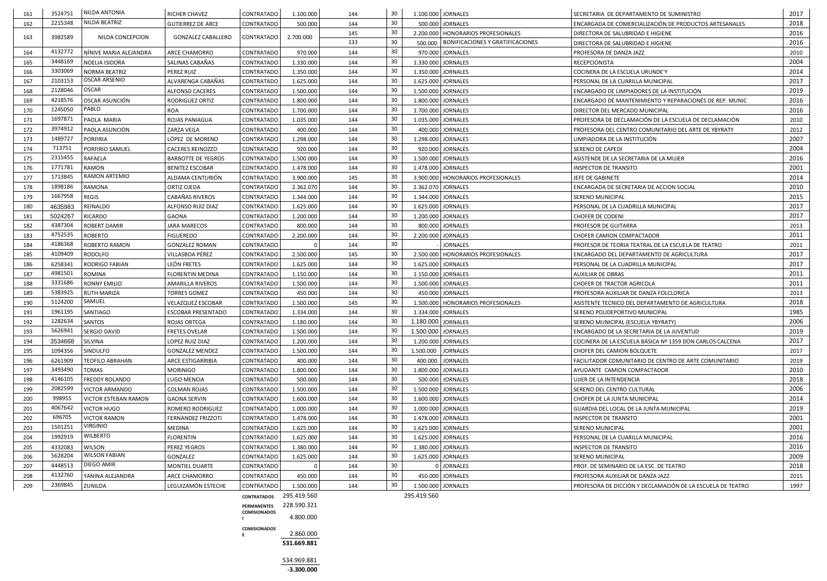| 161 | 3524751 | <b>NILDA ANTONIA</b>        | <b>RICHER CHAVEZ</b>      | <b>CONTRATADO</b>   | 1.100.000   | 144 | 30              |                    | 1.100.000 JORNALES                         | SECRETARIA DE DEPARTAMENTO DE SUMINISTRO                   | 2017 |
|-----|---------|-----------------------------|---------------------------|---------------------|-------------|-----|-----------------|--------------------|--------------------------------------------|------------------------------------------------------------|------|
| 162 | 2215348 | NILDA BEATRIZ               | <b>GUTIERREZ DE ARCE</b>  | <b>CONTRATADO</b>   | 500.000     | 144 | 30 <sup>°</sup> |                    | 500.000 JORNALES                           | ENCARGADA DE COMERCIALIZACIÓN DE PRODUCTOS ARTESANALES     | 2018 |
|     |         |                             |                           |                     |             | 145 | 30              |                    | 2.200.000   HONORARIOS PROFESIONALES       | DIRECTORA DE SALUBRIDAD E HIGIENE                          | 2016 |
| 163 | 3982589 | NILDA CONCEPCION            | <b>GONZALEZ CABALLERO</b> | CONTRATADO          | 2.700.000   | 133 | 30              |                    | 500.000   BONIFICACIONES Y GRATIFICACIONES | DIRECTORA DE SALUBRIDAD E HIGIENE                          | 2016 |
| 164 | 4132772 | NÍNIVE MARIA ALEJANDRA      | <b>ARCE CHAMORRO</b>      | <b>CONTRATADO</b>   | 970.000     | 144 | 30              |                    | 970.000 JORNALES                           | PROFESORA DE DANZA JAZZ                                    | 2010 |
| 165 | 3448169 | NOELIA ISIDORA              | SALINAS CABAÑAS           | <b>CONTRATADO</b>   | 1.330.000   | 144 | 30              |                    | 1.330.000 JORNALES                         | RECEPCIONISTA                                              | 2004 |
| 166 | 3303069 | <b>NORMA BEATRIZ</b>        | PEREZ RUIZ                | CONTRATADO          | 1.350.000   | 144 | 30              |                    | 1.350.000 JORNALES                         | COCINERA DE LA ESCUELA URUNDE'Y                            | 2014 |
| 167 | 2103153 | <b>OSCAR ARSENIO</b>        | ALVARENGA CABAÑAS         | CONTRATADO          | 1.625.000   | 144 | 30              |                    | 1.625.000 JORNALES                         | PERSONAL DE LA CUARILLA MUNICIPAL                          | 2017 |
| 168 | 2128046 | <b>OSCAR</b>                | <b>ALFONSO CACERES</b>    | CONTRATADO          | 1.500.000   | 144 | 30              |                    | 1.500.000 JORNALES                         | ENCARGADO DE LIMPIADORES DE LA INSTITUCIÓN                 | 2019 |
| 169 | 4218576 | OSCAR ASUNCIÓN              | RODRIGUEZ ORTIZ           | CONTRATADO          | 1.800.000   | 144 | 30              |                    | 1.800.000 JORNALES                         | ENCARGADO DE MANTENIMIENTO Y REPARACIONES DE REP. MUNIC    | 2016 |
| 170 | 1245050 | PABLO                       | <b>ROA</b>                | CONTRATADO          | 1.700.000   | 144 | 30              |                    | 1.700.000 JORNALES                         | DIRECTOR DEL MERCADO MUNICIPAL                             | 2016 |
| 171 | 1697871 | PAOLA MARIA                 | <b>ROJAS PANIAGUA</b>     | CONTRATADO          | 1.035.000   | 144 | 30              |                    | 1.035.000 JORNALES                         | PROFESORA DE DECLAMACIÓN DE LA ESCUELA DE DECLAMACIÓN      | 2010 |
| 172 | 3974912 | PAOLA ASUNCIÓN              | ZARZA VEGA                | <b>CONTRATADO</b>   | 400.000     | 144 | 30              |                    | 400.000 JORNALES                           | PROFESORA DEL CENTRO COMUNITARIO DEL ARTE DE YBYRATY       | 2012 |
| 173 | 1489727 | <b>PORFIRIA</b>             | LÓPEZ DE MORENO           | <b>CONTRATADO</b>   | 1.298.000   | 144 | 30              |                    | 1.298.000 JORNALES                         | LIMPIADORA DE LA INSTITUCIÓN                               | 2007 |
| 174 | 713751  | PORFIRIO SAMUEL             | <b>CACERES REINOZZO</b>   | CONTRATADO          | 920.000     | 144 | 30              |                    | 920.000 JORNALES                           | SERENO DE CAPEDI                                           | 2004 |
| 175 | 2315455 | <b>RAFAELA</b>              | <b>BARBOTTE DE YEGROS</b> | <b>CONTRATADO</b>   | 1.500.000   | 144 | 30              |                    | 1.500.000 JORNALES                         | ASISTENDE DE LA SECRETARIA DE LA MUJER                     | 2016 |
| 176 | 1771781 | <b>RAMON</b>                | <b>BENITEZ ESCOBAR</b>    | CONTRATADO          | 1.478.000   | 144 | 30              |                    | 1.478.000 JORNALES                         | <b>INSPECTOR DE TRANSITO</b>                               | 2001 |
| 177 | 1713845 | <b>RAMON ARTEMIO</b>        | ALDAMA CENTURIÓN          | <b>CONTRATADO</b>   | 3.900.000   | 145 | 30              |                    | 3.900.000   HONORARIOS PROFESIONALES       | JEFE DE GABINETE                                           | 2014 |
| 178 | 1898186 | <b>RAMONA</b>               | ORTIZ OJEDA               | CONTRATADO          | 2.362.070   | 144 | 30              |                    | 2.362.070 JORNALES                         | ENCARGADA DE SECRETARIA DE ACCION SOCIAL                   | 2010 |
| 179 | 1667958 | <b>REGIS</b>                | CABAÑAS RIVEROS           | CONTRATADO          | 1.344.000   | 144 | 30              |                    | 1.344.000   JORNALES                       | <b>SERENO MUNICIPAL</b>                                    | 2015 |
| 180 | 4635983 | REINALDO                    | ALFONSO RUIZ DIAZ         | CONTRATADO          | 1.625.000   | 144 | 30              |                    | 1.625.000 JORNALES                         | PERSONAL DE LA CUADRILLA MUNICIPAL                         | 2017 |
| 181 | 5024267 | RICARDO                     | GAONA                     | CONTRATADO          | 1.200.000   | 144 | 30              |                    | 1.200.000 JORNALES                         | <b>CHOFER DE CODENI</b>                                    | 2017 |
| 182 | 4387304 | <b>ROBERT DAMIR</b>         | JARA MARECOS              | <b>CONTRATADO</b>   | 800.000     | 144 | 30              |                    | 800.000 JORNALES                           | PROFESOR DE GUITARRA                                       | 2013 |
| 183 | 4752535 | <b>ROBERTO</b>              | <b>FIGUEREDO</b>          | CONTRATADO          | 2.200.000   | 144 | 30              |                    | 2.200.000 JORNALES                         | CHOFER CAMION COMPACTADOR                                  | 2011 |
| 184 | 4186368 | <b>ROBERTO RAMON</b>        | <b>GONZALEZ ROMAN</b>     | <b>CONTRATADO</b>   |             | 144 | 30              |                    | <b>JORNALES</b>                            | PROFESOR DE TEORIA TEATRAL DE LA ESCUELA DE TEATRO         | 2011 |
| 185 | 4109409 | <b>RODOLFO</b>              | VILLASBOA PÉREZ           | CONTRATADO          | 2.500.000   | 145 | 30              |                    | 2.500.000   HONORARIOS PROFESIONALES       | ENCARGADO DEL DEPARTAMENTO DE AGRICULTURA                  | 2017 |
| 186 | 6258341 | <b>RODRIGO FABIAN</b>       | LEÓN FRETES               | CONTRATADO          | 1.625.000   | 144 | 30              |                    | 1.625.000 JORNALES                         | PERSONAL DE LA CUADRILLA MUNICIPAL                         | 2017 |
| 187 | 4981501 | <b>ROMINA</b>               | <b>FLORENTIN MEDINA</b>   | <b>CONTRATADO</b>   | 1.150.000   | 144 | 30              |                    | 1.150.000 JORNALES                         | <b>AUXILIAR DE OBRAS</b>                                   | 2011 |
| 188 | 3331686 | <b>RONNY EMILIO</b>         | <b>AMARILLA RIVEROS</b>   | CONTRATADO          | 1.500.000   | 144 | 30              |                    | 1.500.000 JORNALES                         | CHOFER DE TRACTOR AGRICOLA                                 | 2011 |
| 189 | 5383925 | <b>RUTH MARIZA</b>          | TORRES GOMEZ              | CONTRATADO          | 450.000     | 144 | 30              |                    | 450.000 JORNALES                           | PROFESORA AUXILIAR DE DANZA FOLCLORICA                     | 2013 |
| 190 | 5124200 | SAMUEL                      | <b>VELAZQUEZ ESCOBAR</b>  | <b>CONTRATADO</b>   | 1.500.000   | 145 | 30              |                    | 1.500.000   HONORARIOS PROFESIONALES       | ASISTENTE TECNICO DEL DEPARTAMENTO DE AGRICULTURA          | 2018 |
| 191 | 1961195 | SANTIAGO                    | <b>ESCOBAR PRESENTADO</b> | <b>CONTRATADO</b>   | 1.334.000   | 144 | 30              |                    | 1.334.000 JORNALES                         | SERENO POLIDEPORTIVO MUNICIPAL                             | 1985 |
| 192 | 1282634 | <b>SANTOS</b>               | ROJAS ORTEGA              | <b>CONTRATADO</b>   | 1.180.000   | 144 | 30              | 1.180.000 JORNALES |                                            | SERENO MUNICIPAL (ESCUELA YBYRATY)                         | 2006 |
| 193 | 5626941 | SERGIO DAVID                | <b>FRETES OVELAR</b>      | <b>CONTRATADO</b>   | 1.500.000   | 144 | 30              | 1.500.000 JORNALES |                                            | ENCARGADO DE LA SECRETARIA DE LA JUVENTUD                  | 2019 |
| 194 | 3534668 | <b>SILVINA</b>              | LOPEZ RUIZ DIAZ           | CONTRATADO          | 1.200.000   | 144 | 30              |                    | 1.200.000 JORNALES                         | COCINERA DE LA ESCUELA BÁSICA Nº 1359 DON CARLOS CALCENA   | 2017 |
| 195 | 1094356 | SINDULFO                    | <b>GONZALEZ MENDEZ</b>    | <b>CONTRATADO</b>   | 1.500.000   | 144 | 30              | 1.500.000 JORNALES |                                            | CHOFER DEL CAMION BOLQUETE                                 | 2017 |
| 196 | 6261909 | <b>TEOFILO ABRAHAN</b>      | ARCE ESTIGARRIBIA         | CONTRATADO          | 400.000     | 144 | 30              |                    | 400.000 JORNALES                           | FACILITADOR COMUNITARIO DE CENTRO DE ARTE COMUNITARIO      | 2019 |
| 197 | 3493490 | <b>TOMAS</b>                | <b>MORINIGO</b>           | <b>CONTRATADO</b>   | 1.800.000   | 144 | 30              |                    | 1.800.000 JORNALES                         | AYUDANTE CAMION COMPACTADOR                                | 2010 |
| 198 | 4146105 | <b>FREDDY ROLANDO</b>       | LUGO MENCIA               | CONTRATADO          | 500.000     | 144 | 30              |                    | 500.000 JORNALES                           | UJIER DE LA INTENDENCIA                                    | 2018 |
| 199 | 2082599 | <b>VICTOR ARMANDO</b>       | <b>COLMAN ROJAS</b>       | CONTRATADO          | 1.500.000   | 144 | 30              |                    | 1.500.000 JORNALES                         | SERENO DEL CENTRO CULTURAL                                 | 2006 |
| 200 | 998955  | <b>VICTOR ESTEBAN RAMON</b> | <b>GAONA SERVIN</b>       | <b>CONTRATADO</b>   | 1.600.000   | 144 | 30              |                    | 1.600.000 JORNALES                         | CHOFER DE LA JUNTA MUNICIPAL                               | 2014 |
| 201 | 4067642 | <b>VICTOR HUGO</b>          | ROMERO RODRIGUEZ          | <b>CONTRATADO</b>   | 1.000.000   | 144 | 30              |                    | 1.000.000 JORNALES                         | GUARDIA DEL LOCAL DE LA JUNTA MUNICIPAL                    | 2019 |
| 202 | 696705  | <b>VICTOR RAMON</b>         | <b>FERNANDEZ FRIZZOTI</b> | <b>CONTRATADO</b>   | 1.478.000   | 144 | 30              | 1.478.000 JORNALES |                                            | <b>INSPECTOR DE TRANSITO</b>                               | 2001 |
| 203 | 1501251 | <b>VIRGINIO</b>             | MEDINA                    | <b>CONTRATADO</b>   | 1.625.000   | 144 | 30              |                    | 1.625.000 JORNALES                         | SERENO MUNICIPAL                                           | 2001 |
| 204 | 1992919 | WILBERTO                    | FLORENTIN                 | CONTRATADO          | 1.625.000   | 144 | 30              |                    | 1.625.000 JORNALES                         | PERSONAL DE LA CUARILLA MUNICIPAL                          | 2016 |
| 205 | 4332083 | <b>WILSON</b>               | PEREZ YEGROS              | CONTRATADO          | 1.380.000   | 144 | 30              |                    | 1.380.000 JORNALES                         | <b>INSPECTOR DE TRANSITO</b>                               | 2016 |
| 206 | 5628204 | <b>WILSON FABIAN</b>        | GONZALEZ                  | CONTRATADO          | 1.625.000   | 144 | 30              |                    | 1.625.000 JORNALES                         | <b>SERENO MUNICIPAL</b>                                    | 2009 |
| 207 | 4448513 | DIEGO AMIR                  | MONTIEL DUARTE            | <b>CONTRATADO</b>   |             | 144 | 30 <sup>°</sup> |                    | 0 JORNALES                                 | PROF. DE SEMINARIO DE LA ESC. DE TEATRO                    | 2018 |
| 208 | 4132760 | YANINA ALEJANDRA            | ARCE CHAMORRO             | CONTRATADO          | 450.000     | 144 | 30              |                    | 450.000 JORNALES                           | PROFESORA AUXILIAR DE DANZA JAZZ                           | 2015 |
| 209 | 2369845 | <b>ZUNILDA</b>              | LEGUIZAMÓN ESTECHE        | <b>CONTRATADO</b>   | 1.500.000   | 144 | 30 <sup>°</sup> |                    | 1.500.000 JORNALES                         | PROFESORA DE DICCIÓN Y DECLAMACIÓN DE LA ESCUELA DE TEATRO | 1997 |
|     |         |                             |                           | <b>CONTRATADOS</b>  | 295.419.560 |     |                 | 295.419.560        |                                            |                                                            |      |
|     |         |                             |                           | PERMANENTES         | 228.590.321 |     |                 |                    |                                            |                                                            |      |
|     |         |                             |                           | <b>COMISIONADOS</b> | 4.800.000   |     |                 |                    |                                            |                                                            |      |
|     |         |                             |                           |                     |             |     |                 |                    |                                            |                                                            |      |
|     |         |                             |                           | <b>COMISIONADOS</b> | 2.860.000   |     |                 |                    |                                            |                                                            |      |
|     |         |                             |                           |                     | 531.669.881 |     |                 |                    |                                            |                                                            |      |
|     |         |                             |                           |                     |             |     |                 |                    |                                            |                                                            |      |

534.969.881 **-3.300.000**